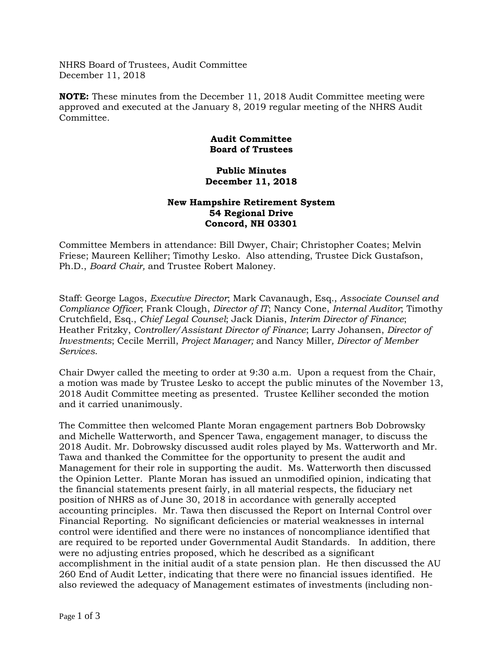NHRS Board of Trustees, Audit Committee December 11, 2018

**NOTE:** These minutes from the December 11, 2018 Audit Committee meeting were approved and executed at the January 8, 2019 regular meeting of the NHRS Audit Committee.

## **Audit Committee Board of Trustees**

## **Public Minutes December 11, 2018**

## **New Hampshire Retirement System 54 Regional Drive Concord, NH 03301**

Committee Members in attendance: Bill Dwyer, Chair; Christopher Coates; Melvin Friese; Maureen Kelliher; Timothy Lesko. Also attending, Trustee Dick Gustafson, Ph.D., *Board Chair,* and Trustee Robert Maloney.

Staff: George Lagos, *Executive Director*; Mark Cavanaugh, Esq., *Associate Counsel and Compliance Officer*; Frank Clough, *Director of IT*; Nancy Cone, *Internal Auditor*; Timothy Crutchfield, Esq., *Chief Legal Counsel*; Jack Dianis, *Interim Director of Finance*; Heather Fritzky, *Controller/Assistant Director of Finance*; Larry Johansen, *Director of Investments*; Cecile Merrill, *Project Manager;* and Nancy Miller*, Director of Member Services*.

Chair Dwyer called the meeting to order at 9:30 a.m. Upon a request from the Chair, a motion was made by Trustee Lesko to accept the public minutes of the November 13, 2018 Audit Committee meeting as presented. Trustee Kelliher seconded the motion and it carried unanimously.

The Committee then welcomed Plante Moran engagement partners Bob Dobrowsky and Michelle Watterworth, and Spencer Tawa, engagement manager, to discuss the 2018 Audit. Mr. Dobrowsky discussed audit roles played by Ms. Watterworth and Mr. Tawa and thanked the Committee for the opportunity to present the audit and Management for their role in supporting the audit. Ms. Watterworth then discussed the Opinion Letter. Plante Moran has issued an unmodified opinion, indicating that the financial statements present fairly, in all material respects, the fiduciary net position of NHRS as of June 30, 2018 in accordance with generally accepted accounting principles. Mr. Tawa then discussed the Report on Internal Control over Financial Reporting. No significant deficiencies or material weaknesses in internal control were identified and there were no instances of noncompliance identified that are required to be reported under Governmental Audit Standards. In addition, there were no adjusting entries proposed, which he described as a significant accomplishment in the initial audit of a state pension plan. He then discussed the AU 260 End of Audit Letter, indicating that there were no financial issues identified. He also reviewed the adequacy of Management estimates of investments (including non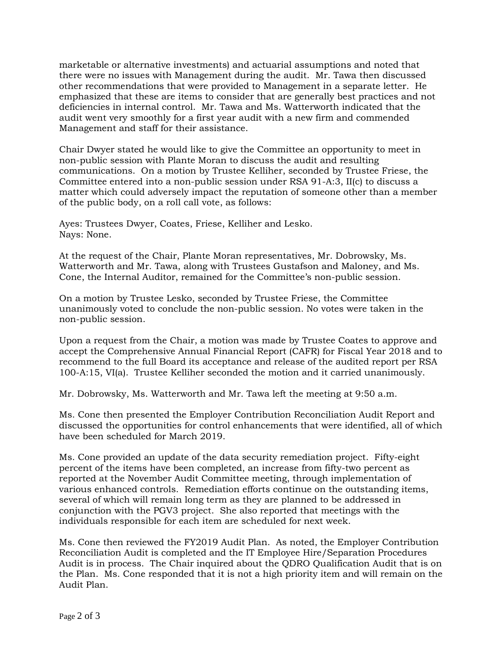marketable or alternative investments) and actuarial assumptions and noted that there were no issues with Management during the audit. Mr. Tawa then discussed other recommendations that were provided to Management in a separate letter. He emphasized that these are items to consider that are generally best practices and not deficiencies in internal control. Mr. Tawa and Ms. Watterworth indicated that the audit went very smoothly for a first year audit with a new firm and commended Management and staff for their assistance.

Chair Dwyer stated he would like to give the Committee an opportunity to meet in non-public session with Plante Moran to discuss the audit and resulting communications. On a motion by Trustee Kelliher, seconded by Trustee Friese, the Committee entered into a non-public session under RSA 91-A:3, II(c) to discuss a matter which could adversely impact the reputation of someone other than a member of the public body, on a roll call vote, as follows:

Ayes: Trustees Dwyer, Coates, Friese, Kelliher and Lesko. Nays: None.

At the request of the Chair, Plante Moran representatives, Mr. Dobrowsky, Ms. Watterworth and Mr. Tawa, along with Trustees Gustafson and Maloney, and Ms. Cone, the Internal Auditor, remained for the Committee's non-public session.

On a motion by Trustee Lesko, seconded by Trustee Friese, the Committee unanimously voted to conclude the non-public session. No votes were taken in the non-public session.

Upon a request from the Chair, a motion was made by Trustee Coates to approve and accept the Comprehensive Annual Financial Report (CAFR) for Fiscal Year 2018 and to recommend to the full Board its acceptance and release of the audited report per RSA 100-A:15, VI(a). Trustee Kelliher seconded the motion and it carried unanimously.

Mr. Dobrowsky, Ms. Watterworth and Mr. Tawa left the meeting at 9:50 a.m.

Ms. Cone then presented the Employer Contribution Reconciliation Audit Report and discussed the opportunities for control enhancements that were identified, all of which have been scheduled for March 2019.

Ms. Cone provided an update of the data security remediation project. Fifty-eight percent of the items have been completed, an increase from fifty-two percent as reported at the November Audit Committee meeting, through implementation of various enhanced controls. Remediation efforts continue on the outstanding items, several of which will remain long term as they are planned to be addressed in conjunction with the PGV3 project. She also reported that meetings with the individuals responsible for each item are scheduled for next week.

Ms. Cone then reviewed the FY2019 Audit Plan. As noted, the Employer Contribution Reconciliation Audit is completed and the IT Employee Hire/Separation Procedures Audit is in process. The Chair inquired about the QDRO Qualification Audit that is on the Plan. Ms. Cone responded that it is not a high priority item and will remain on the Audit Plan.